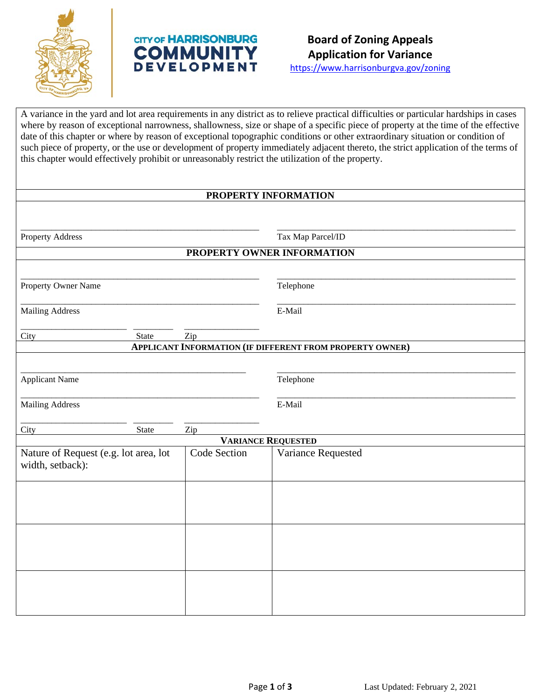

# **CITY OF HARRISONBURG COMMUNITY DEVELOPMENT**

https://www.harrisonburgva.gov/zoning

A variance in the yard and lot area requirements in any district as to relieve practical difficulties or particular hardships in cases where by reason of exceptional narrowness, shallowness, size or shape of a specific piece of property at the time of the effective date of this chapter or where by reason of exceptional topographic conditions or other extraordinary situation or condition of such piece of property, or the use or development of property immediately adjacent thereto, the strict application of the terms of this chapter would effectively prohibit or unreasonably restrict the utilization of the property.

# **PROPERTY INFORMATION**

| Property Address                                          |              | Tax Map Parcel/ID                                               |  |
|-----------------------------------------------------------|--------------|-----------------------------------------------------------------|--|
|                                                           |              | PROPERTY OWNER INFORMATION                                      |  |
|                                                           |              |                                                                 |  |
| Property Owner Name                                       |              | Telephone                                                       |  |
| <b>Mailing Address</b>                                    |              | E-Mail                                                          |  |
| City<br>State                                             | Zip          |                                                                 |  |
|                                                           |              | <b>APPLICANT INFORMATION (IF DIFFERENT FROM PROPERTY OWNER)</b> |  |
|                                                           |              |                                                                 |  |
| <b>Applicant Name</b>                                     |              | Telephone                                                       |  |
| <b>Mailing Address</b>                                    |              | E-Mail                                                          |  |
| City<br>State                                             | Zip          |                                                                 |  |
|                                                           |              | <b>VARIANCE REQUESTED</b>                                       |  |
| Nature of Request (e.g. lot area, lot<br>width, setback): | Code Section | Variance Requested                                              |  |
|                                                           |              |                                                                 |  |
|                                                           |              |                                                                 |  |
|                                                           |              |                                                                 |  |
|                                                           |              |                                                                 |  |
|                                                           |              |                                                                 |  |
|                                                           |              |                                                                 |  |
|                                                           |              |                                                                 |  |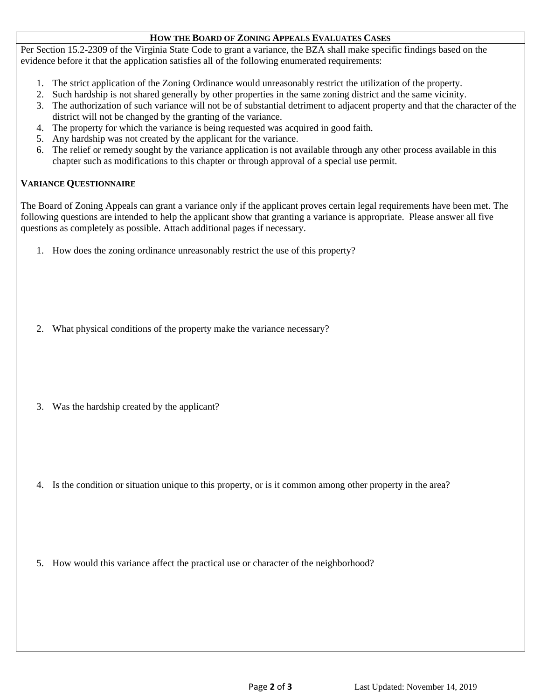# **HOW THE BOARD OF ZONING APPEALS EVALUATES CASES**

Per Section 15.2-2309 of the Virginia State Code to grant a variance, the BZA shall make specific findings based on the evidence before it that the application satisfies all of the following enumerated requirements:

- 1. The strict application of the Zoning Ordinance would unreasonably restrict the utilization of the property.
- 2. Such hardship is not shared generally by other properties in the same zoning district and the same vicinity.
- 3. The authorization of such variance will not be of substantial detriment to adjacent property and that the character of the district will not be changed by the granting of the variance.
- 4. The property for which the variance is being requested was acquired in good faith.
- 5. Any hardship was not created by the applicant for the variance.
- 6. The relief or remedy sought by the variance application is not available through any other process available in this chapter such as modifications to this chapter or through approval of a special use permit.

# **VARIANCE QUESTIONNAIRE**

The Board of Zoning Appeals can grant a variance only if the applicant proves certain legal requirements have been met. The following questions are intended to help the applicant show that granting a variance is appropriate. Please answer all five questions as completely as possible. Attach additional pages if necessary.

- 1. How does the zoning ordinance unreasonably restrict the use of this property?
- 2. What physical conditions of the property make the variance necessary?
- 3. Was the hardship created by the applicant?
- 4. Is the condition or situation unique to this property, or is it common among other property in the area?
- 5. How would this variance affect the practical use or character of the neighborhood?